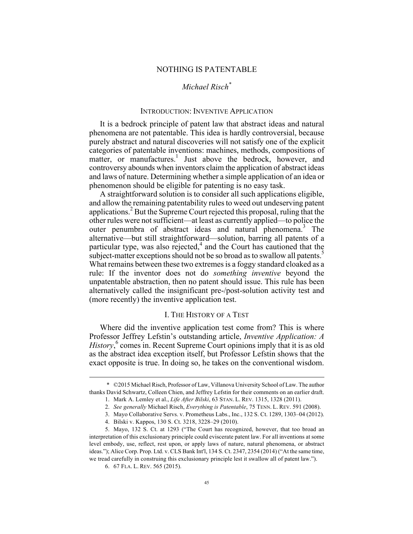#### NOTHING IS PATENTABLE

# *Michael Risch\**

## INTRODUCTION: INVENTIVE APPLICATION

It is a bedrock principle of patent law that abstract ideas and natural phenomena are not patentable. This idea is hardly controversial, because purely abstract and natural discoveries will not satisfy one of the explicit categories of patentable inventions: machines, methods, compositions of matter, or manufactures.<sup>1</sup> Just above the bedrock, however, and controversy abounds when inventors claim the application of abstract ideas and laws of nature. Determining whether a simple application of an idea or phenomenon should be eligible for patenting is no easy task.

A straightforward solution is to consider all such applications eligible, and allow the remaining patentability rules to weed out undeserving patent applications.<sup>2</sup> But the Supreme Court rejected this proposal, ruling that the other rules were not sufficient—at least as currently applied—to police the outer penumbra of abstract ideas and natural phenomena.<sup>3</sup> The alternative—but still straightforward—solution, barring all patents of a particular type, was also rejected, $4$  and the Court has cautioned that the subject-matter exceptions should not be so broad as to swallow all patents.<sup>5</sup> What remains between these two extremes is a foggy standard cloaked as a rule: If the inventor does not do *something inventive* beyond the unpatentable abstraction, then no patent should issue. This rule has been alternatively called the insignificant pre-/post-solution activity test and (more recently) the inventive application test.

## I. THE HISTORY OF A TEST

Where did the inventive application test come from? This is where Professor Jeffrey Lefstin's outstanding article, *Inventive Application: A History*, <sup>6</sup> comes in. Recent Supreme Court opinions imply that it is as old as the abstract idea exception itself, but Professor Lefstin shows that the exact opposite is true. In doing so, he takes on the conventional wisdom.

 <sup>\*</sup> ©2015 Michael Risch, Professor of Law, Villanova University School of Law. The author thanks David Schwartz, Colleen Chien, and Jeffrey Lefstin for their comments on an earlier draft.

<sup>1.</sup> Mark A. Lemley et al., *Life After Bilski*, 63 STAN. L. REV. 1315, 1328 (2011).

<sup>2.</sup> *See generally* Michael Risch, *Everything is Patentable*, 75 TENN. L. REV. 591 (2008).

<sup>3.</sup> Mayo Collaborative Servs. v. Prometheus Labs., Inc., 132 S. Ct. 1289, 1303–04 (2012).

<sup>4.</sup> Bilski v. Kappos, 130 S. Ct. 3218, 3228–29 (2010).

<sup>5.</sup> Mayo, 132 S. Ct. at 1293 ("The Court has recognized, however, that too broad an interpretation of this exclusionary principle could eviscerate patent law. For all inventions at some level embody, use, reflect, rest upon, or apply laws of nature, natural phenomena, or abstract ideas."); Alice Corp. Prop. Ltd. v. CLS Bank Int'l, 134 S. Ct. 2347, 2354 (2014) ("At the same time, we tread carefully in construing this exclusionary principle lest it swallow all of patent law.").

<sup>6.</sup> 67 FLA. L. REV. 565 (2015).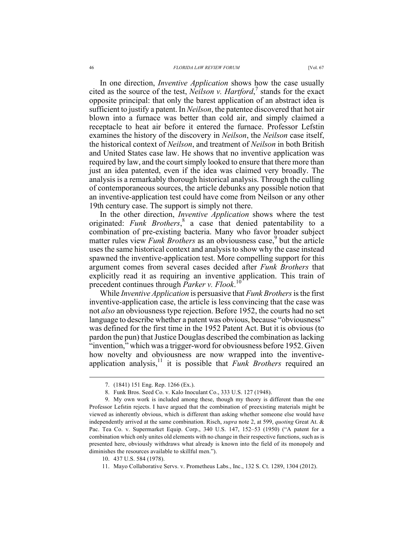#### 46 *FLORIDA LAW REVIEW FORUM* [Vol. 67

In one direction, *Inventive Application* shows how the case usually cited as the source of the test, *Neilson v. Hartford*, <sup>7</sup> stands for the exact opposite principal: that only the barest application of an abstract idea is sufficient to justify a patent. In *Neilson*, the patentee discovered that hot air blown into a furnace was better than cold air, and simply claimed a receptacle to heat air before it entered the furnace. Professor Lefstin examines the history of the discovery in *Neilson*, the *Neilson* case itself, the historical context of *Neilson*, and treatment of *Neilson* in both British and United States case law. He shows that no inventive application was required by law, and the court simply looked to ensure that there more than just an idea patented, even if the idea was claimed very broadly. The analysis is a remarkably thorough historical analysis. Through the culling of contemporaneous sources, the article debunks any possible notion that an inventive-application test could have come from Neilson or any other 19th century case. The support is simply not there.

In the other direction, *Inventive Application* shows where the test originated: *Funk Brothers*, <sup>8</sup> a case that denied patentability to a combination of pre-existing bacteria. Many who favor broader subject matter rules view *Funk Brothers* as an obviousness case,<sup>9</sup> but the article uses the same historical context and analysis to show why the case instead spawned the inventive-application test. More compelling support for this argument comes from several cases decided after *Funk Brothers* that explicitly read it as requiring an inventive application. This train of precedent continues through *Parker v. Flook*. 10

While *Inventive Application* is persuasive that *Funk Brothers*is the first inventive-application case, the article is less convincing that the case was not *also* an obviousness type rejection. Before 1952, the courts had no set language to describe whether a patent was obvious, because "obviousness" was defined for the first time in the 1952 Patent Act. But it is obvious (to pardon the pun) that Justice Douglas described the combination as lacking "invention," which was a trigger-word for obviousness before 1952. Given how novelty and obviousness are now wrapped into the inventiveapplication analysis,<sup>11</sup> it is possible that *Funk Brothers* required an

 <sup>7.</sup> (1841) 151 Eng. Rep. 1266 (Ex.).

<sup>8.</sup> Funk Bros. Seed Co. v. Kalo Inoculant Co., 333 U.S. 127 (1948).

<sup>9.</sup> My own work is included among these, though my theory is different than the one Professor Lefstin rejects. I have argued that the combination of preexisting materials might be viewed as inherently obvious, which is different than asking whether someone else would have independently arrived at the same combination. Risch, *supra* note 2, at 599, *quoting* Great At. & Pac. Tea Co. v. Supermarket Equip. Corp., 340 U.S. 147, 152–53 (1950) ("A patent for a combination which only unites old elements with no change in their respective functions, such as is presented here, obviously withdraws what already is known into the field of its monopoly and diminishes the resources available to skillful men.").

<sup>10.</sup> 437 U.S. 584 (1978).

<sup>11.</sup> Mayo Collaborative Servs. v. Prometheus Labs., Inc., 132 S. Ct. 1289, 1304 (2012).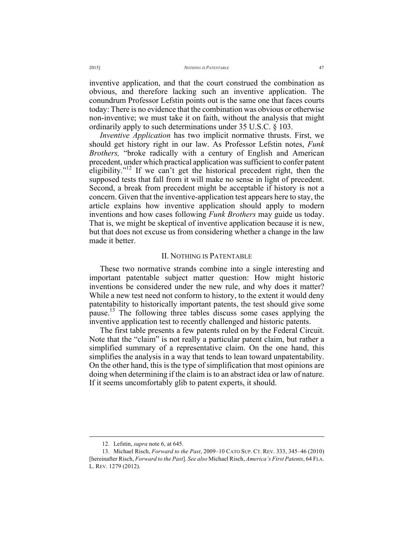inventive application, and that the court construed the combination as obvious, and therefore lacking such an inventive application. The conundrum Professor Lefstin points out is the same one that faces courts today: There is no evidence that the combination was obvious or otherwise non-inventive; we must take it on faith, without the analysis that might ordinarily apply to such determinations under 35 U.S.C. § 103.

*Inventive Application* has two implicit normative thrusts. First, we should get history right in our law. As Professor Lefstin notes, *Funk Brothers,* "broke radically with a century of English and American precedent, under which practical application was sufficient to confer patent eligibility."<sup>12</sup> If we can't get the historical precedent right, then the supposed tests that fall from it will make no sense in light of precedent. Second, a break from precedent might be acceptable if history is not a concern. Given that the inventive-application test appears here to stay, the article explains how inventive application should apply to modern inventions and how cases following *Funk Brothers* may guide us today. That is, we might be skeptical of inventive application because it is new, but that does not excuse us from considering whether a change in the law made it better.

## II. NOTHING IS PATENTABLE

These two normative strands combine into a single interesting and important patentable subject matter question: How might historic inventions be considered under the new rule, and why does it matter? While a new test need not conform to history, to the extent it would deny patentability to historically important patents, the test should give some pause.<sup>13</sup> The following three tables discuss some cases applying the inventive application test to recently challenged and historic patents.

The first table presents a few patents ruled on by the Federal Circuit. Note that the "claim" is not really a particular patent claim, but rather a simplified summary of a representative claim. On the one hand, this simplifies the analysis in a way that tends to lean toward unpatentability. On the other hand, this is the type of simplification that most opinions are doing when determining if the claim is to an abstract idea or law of nature. If it seems uncomfortably glib to patent experts, it should.

 <sup>12.</sup> Lefstin, *supra* note 6, at 645.

<sup>13.</sup> Michael Risch, *Forward to the Past*, 2009–10 CATO SUP. CT. REV. 333, 345–46 (2010) [hereinafter Risch, *Forward to the Past*]. *See also* Michael Risch, *America's First Patents*, 64 FLA. L. REV. 1279 (2012).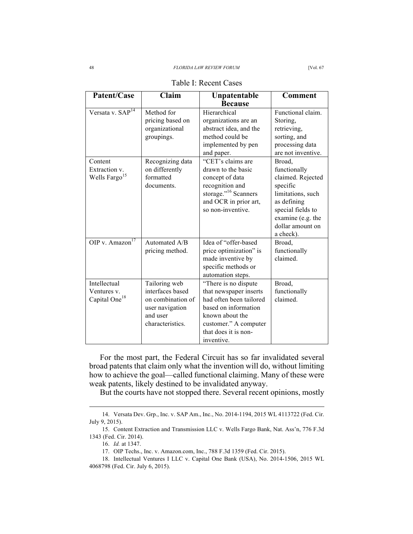| Patent/Case                                              | Claim                                                                                                     | Unpatentable<br><b>Because</b>                                                                                                                                                      | <b>Comment</b>                                                                                                                               |
|----------------------------------------------------------|-----------------------------------------------------------------------------------------------------------|-------------------------------------------------------------------------------------------------------------------------------------------------------------------------------------|----------------------------------------------------------------------------------------------------------------------------------------------|
| Versata v. SAP <sup>14</sup><br>Content<br>Extraction v. | Method for<br>pricing based on<br>organizational<br>groupings.<br>Recognizing data<br>on differently      | Hierarchical<br>organizations are an<br>abstract idea, and the<br>method could be<br>implemented by pen<br>and paper.<br>"CET's claims are<br>drawn to the basic                    | Functional claim.<br>Storing,<br>retrieving,<br>sorting, and<br>processing data<br>are not inventive.<br>Broad,<br>functionally              |
| Wells Fargo <sup>15</sup>                                | formatted<br>documents.                                                                                   | concept of data<br>recognition and<br>storage." <sup>16</sup> Scanners<br>and OCR in prior art,<br>so non-inventive.                                                                | claimed. Rejected<br>specific<br>limitations, such<br>as defining<br>special fields to<br>examine (e.g. the<br>dollar amount on<br>a check). |
| OIP v. Amazon <sup>17</sup>                              | Automated A/B<br>pricing method.                                                                          | Idea of "offer-based<br>price optimization" is<br>made inventive by<br>specific methods or<br>automation steps.                                                                     | Broad.<br>functionally<br>claimed.                                                                                                           |
| Intellectual<br>Ventures v.<br>Capital One <sup>18</sup> | Tailoring web<br>interfaces based<br>on combination of<br>user navigation<br>and user<br>characteristics. | "There is no dispute<br>that newspaper inserts<br>had often been tailored<br>based on information<br>known about the<br>customer." A computer<br>that does it is non-<br>inventive. | Broad,<br>functionally<br>claimed.                                                                                                           |

|  | Table I: Recent Cases |  |
|--|-----------------------|--|
|--|-----------------------|--|

For the most part, the Federal Circuit has so far invalidated several broad patents that claim only what the invention will do, without limiting how to achieve the goal—called functional claiming. Many of these were weak patents, likely destined to be invalidated anyway.

But the courts have not stopped there. Several recent opinions, mostly

 <sup>14.</sup> Versata Dev. Grp., Inc. v. SAP Am., Inc., No. 2014-1194, 2015 WL 4113722 (Fed. Cir. July 9, 2015).

<sup>15.</sup> Content Extraction and Transmission LLC v. Wells Fargo Bank, Nat. Ass'n, 776 F.3d 1343 (Fed. Cir. 2014).

<sup>16.</sup> *Id.* at 1347.

<sup>17.</sup> OIP Techs., Inc. v. Amazon.com, Inc., 788 F.3d 1359 (Fed. Cir. 2015).

<sup>18.</sup> Intellectual Ventures I LLC v. Capital One Bank (USA), No. 2014-1506, 2015 WL 4068798 (Fed. Cir. July 6, 2015).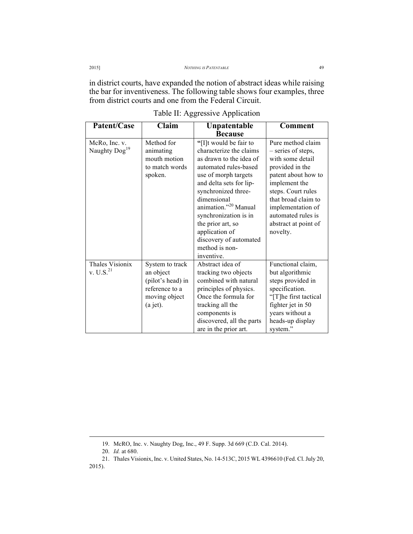in district courts, have expanded the notion of abstract ideas while raising the bar for inventiveness. The following table shows four examples, three from district courts and one from the Federal Circuit.

| Patent/Case                                | Claim                                                                                              | Unpatentable                                                                                                                                                                                                                                                                                                                                                 | <b>Comment</b>                                                                                                                                                                                                                                     |
|--------------------------------------------|----------------------------------------------------------------------------------------------------|--------------------------------------------------------------------------------------------------------------------------------------------------------------------------------------------------------------------------------------------------------------------------------------------------------------------------------------------------------------|----------------------------------------------------------------------------------------------------------------------------------------------------------------------------------------------------------------------------------------------------|
|                                            |                                                                                                    | <b>Because</b>                                                                                                                                                                                                                                                                                                                                               |                                                                                                                                                                                                                                                    |
| McRo, Inc. v.<br>Naughty Dog <sup>19</sup> | Method for<br>animating<br>mouth motion<br>to match words<br>spoken.                               | "[I]t would be fair to<br>characterize the claims<br>as drawn to the idea of<br>automated rules-based<br>use of morph targets<br>and delta sets for lip-<br>synchronized three-<br>dimensional<br>animation." <sup>20</sup> Manual<br>synchronization is in<br>the prior art, so<br>application of<br>discovery of automated<br>method is non-<br>inventive. | Pure method claim<br>- series of steps,<br>with some detail<br>provided in the<br>patent about how to<br>implement the<br>steps. Court rules<br>that broad claim to<br>implementation of<br>automated rules is<br>abstract at point of<br>novelty. |
| Thales Visionix<br>v. U.S. <sup>21</sup>   | System to track<br>an object<br>(pilot's head) in<br>reference to a<br>moving object<br>$(a$ jet). | Abstract idea of<br>tracking two objects<br>combined with natural<br>principles of physics.<br>Once the formula for<br>tracking all the<br>components is<br>discovered, all the parts<br>are in the prior art.                                                                                                                                               | Functional claim,<br>but algorithmic<br>steps provided in<br>specification.<br>"[T]he first tactical<br>fighter jet in 50<br>years without a<br>heads-up display<br>system."                                                                       |

Table II: Aggressive Application

 <sup>19.</sup> McRO, Inc. v. Naughty Dog, Inc., 49 F. Supp. 3d 669 (C.D. Cal. 2014).

<sup>20.</sup> *Id.* at 680.

<sup>21.</sup> Thales Visionix, Inc. v. United States, No. 14-513C, 2015 WL 4396610 (Fed. Cl. July 20, 2015).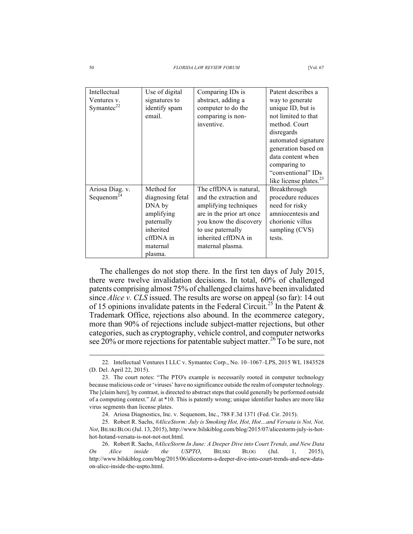| Intellectual<br>Ventures v.<br>Symantec $22$ | Use of digital<br>signatures to<br>identify spam<br>email.                                                            | Comparing IDs is<br>abstract, adding a<br>computer to do the<br>comparing is non-<br>inventive.                                                                                                  | Patent describes a<br>way to generate<br>unique ID, but is<br>not limited to that<br>method. Court<br>disregards<br>automated signature<br>generation based on<br>data content when<br>comparing to<br>"conventional" IDs<br>like license plates. <sup>23</sup> |
|----------------------------------------------|-----------------------------------------------------------------------------------------------------------------------|--------------------------------------------------------------------------------------------------------------------------------------------------------------------------------------------------|-----------------------------------------------------------------------------------------------------------------------------------------------------------------------------------------------------------------------------------------------------------------|
| Ariosa Diag. v.<br>Sequenom <sup>24</sup>    | Method for<br>diagnosing fetal<br>DNA by<br>amplifying<br>paternally<br>inherited<br>cffDNA in<br>maternal<br>plasma. | The cffDNA is natural,<br>and the extraction and<br>amplifying techniques<br>are in the prior art once<br>you know the discovery<br>to use paternally<br>inherited cffDNA in<br>maternal plasma. | Breakthrough<br>procedure reduces<br>need for risky<br>amniocentesis and<br>chorionic villus<br>sampling (CVS)<br>tests.                                                                                                                                        |

The challenges do not stop there. In the first ten days of July 2015, there were twelve invalidation decisions. In total, 60% of challenged patents comprising almost 75% of challenged claims have been invalidated since *Alice v. CLS* issued. The results are worse on appeal (so far): 14 out of 15 opinions invalidate patents in the Federal Circuit.<sup>25</sup> In the Patent & Trademark Office, rejections also abound. In the ecommerce category, more than 90% of rejections include subject-matter rejections, but other categories, such as cryptography, vehicle control, and computer networks see 20% or more rejections for patentable subject matter.<sup>26</sup> To be sure, not

 <sup>22.</sup> Intellectual Ventures I LLC v. Symantec Corp., No. 10–1067–LPS, 2015 WL 1843528 (D. Del. April 22, 2015).

<sup>23.</sup> The court notes: "The PTO's example is necessarily rooted in computer technology because malicious code or 'viruses' have no significance outside the realm of computer technology. The [claim here], by contrast, is directed to abstract steps that could generally be performed outside of a computing context." *Id.* at \*10. This is patently wrong; unique identifier hashes are more like virus segments than license plates.

<sup>24.</sup> Ariosa Diagnostics, Inc. v. Sequenom, Inc., 788 F.3d 1371 (Fed. Cir. 2015).

<sup>25.</sup> Robert R. Sachs, *#AliceStorm: July is Smoking Hot, Hot, Hot…and Versata is Not, Not, Not*, BILSKI BLOG (Jul. 13, 2015), http://www.bilskiblog.com/blog/2015/07/alicestorm-july-is-hothot-hotand-versata-is-not-not-not.html.

<sup>26.</sup> Robert R. Sachs, *#AliceStorm In June: A Deeper Dive into Court Trends, and New Data On Alice inside the USPTO*, BILSKI BLOG (Jul. 1, 2015), http://www.bilskiblog.com/blog/2015/06/alicestorm-a-deeper-dive-into-court-trends-and-new-dataon-alice-inside-the-uspto.html.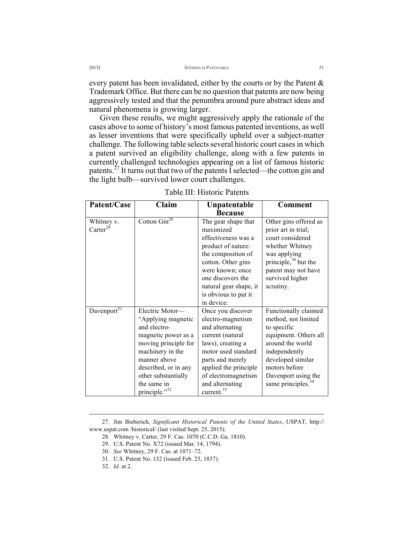every patent has been invalidated, either by the courts or by the Patent & Trademark Office. But there can be no question that patents are now being aggressively tested and that the penumbra around pure abstract ideas and natural phenomena is growing larger.

Given these results, we might aggressively apply the rationale of the cases above to some of history's most famous patented inventions, as well as lesser inventions that were specifically upheld over a subject-matter challenge. The following table selects several historic court cases in which a patent survived an eligibility challenge, along with a few patents in currently challenged technologies appearing on a list of famous historic patents.<sup>27</sup> It turns out that two of the patents I selected—the cotton gin and the light bulb—survived lower court challenges.

| Patent/Case                        | Claim                                                                                                                                                                                                                   | Unpatentable<br><b>Because</b>                                                                                                                                                                                                             | <b>Comment</b>                                                                                                                                                                                                          |
|------------------------------------|-------------------------------------------------------------------------------------------------------------------------------------------------------------------------------------------------------------------------|--------------------------------------------------------------------------------------------------------------------------------------------------------------------------------------------------------------------------------------------|-------------------------------------------------------------------------------------------------------------------------------------------------------------------------------------------------------------------------|
| Whitney v.<br>Carter <sup>28</sup> | Cotton $\overline{\text{Gin}^{29}}$                                                                                                                                                                                     | The gear shape that<br>maximized<br>effectiveness was a<br>product of nature:<br>the composition of<br>cotton. Other gins<br>were known; once<br>one discovers the<br>natural gear shape, it<br>is obvious to put it<br>in device.         | Other gins offered as<br>prior art in trial;<br>court considered<br>whether Whitney<br>was applying<br>principle, $30$ but the<br>patent may not have<br>survived higher<br>scrutiny.                                   |
| Davenport <sup>31</sup>            | Electric Motor-<br>"Applying magnetic<br>and electro-<br>magnetic power as a<br>moving principle for<br>machinery in the<br>manner above<br>described, or in any<br>other substantially<br>the same in<br>principle."32 | Once you discover<br>electro-magnetism<br>and alternating<br>current (natural<br>laws), creating a<br>motor used standard<br>parts and merely<br>applied the principle<br>of electromagnetism<br>and alternating<br>current. <sup>33</sup> | Functionally claimed<br>method, not limited<br>to specific<br>equipment. Others all<br>around the world<br>independently<br>developed similar<br>motors before<br>Davenport using the<br>same principles. <sup>34</sup> |

Table III: Historic Patents

 <sup>27.</sup> Jim Bieberich, *Significant Historical Patents of the United States*, USPAT, http:// www.uspat.com /historical/ (last visited Sept. 25, 2015).

<sup>28.</sup> Whitney v. Carter, 29 F. Cas. 1070 (C.C.D. Ga. 1810).

<sup>29.</sup> U.S. Patent No. X72 (issued Mar. 14, 1794).

<sup>30.</sup> *See* Whitney, 29 F. Cas. at 1071–72.

<sup>31.</sup> U.S. Patent No. 132 (issued Feb. 25, 1837).

<sup>32.</sup> *Id.* at 2.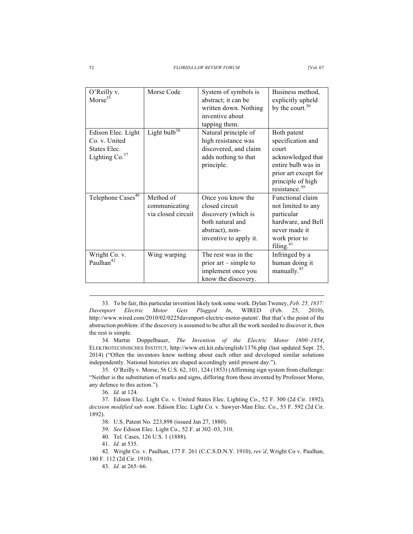| O'Reilly v.<br>Morse <sup>35</sup>                                                | Morse Code                                       | System of symbols is<br>abstract; it can be<br>written down. Nothing<br>inventive about<br>tapping them.                    | Business method,<br>explicitly upheld<br>by the court. $36$                                                                                                    |
|-----------------------------------------------------------------------------------|--------------------------------------------------|-----------------------------------------------------------------------------------------------------------------------------|----------------------------------------------------------------------------------------------------------------------------------------------------------------|
| Edison Elec. Light<br>Co. v. United<br>States Elec.<br>Lighting Co. <sup>37</sup> | Light bulb <sup>38</sup>                         | Natural principle of<br>high resistance was<br>discovered, and claim<br>adds nothing to that<br>principle.                  | Both patent<br>specification and<br>court<br>acknowledged that<br>entire bulb was in<br>prior art except for<br>principle of high<br>resistance. <sup>39</sup> |
| Telephone Cases <sup>40</sup>                                                     | Method of<br>communicating<br>via closed circuit | Once you know the<br>closed circuit<br>discovery (which is<br>both natural and<br>abstract), non-<br>inventive to apply it. | Functional claim<br>not limited to any<br>particular<br>hardware, and Bell<br>never made it<br>work prior to<br>filing. $41$                                   |
| Wright Co. v.<br>Paulhan <sup>42</sup>                                            | Wing warping                                     | The rest was in the<br>prior $art$ – simple to<br>implement once you<br>know the discovery.                                 | Infringed by a<br>human doing it<br>manually. <sup>43</sup>                                                                                                    |

 33. To be fair, this particular invention likely took some work. Dylan Tweney, *Feb. 25, 1837: Davenport Electric Motor Gets Plugged In*, WIRED (Feb. 25, 2010), http://www.wired.com/2010/02/0225davenport-electric-motor-patent/. But that's the point of the abstraction problem: if the discovery is assumed to be after all the work needed to discover it, then the rest is simple.

34. Martin Doppelbauer, *The Invention of the Electric Motor 1800–1854*, ELEKTROTECHNISCHES INSTITUT, http://www.eti.kit.edu/english/1376.php (last updated Sept. 25, 2014) ("Often the inventors knew nothing about each other and developed similar solutions independently. National histories are shaped accordingly until present day.").

35. O'Reilly v. Morse, 56 U.S. 62, 101, 124 (1853) (Affirming sign system from challenge: "Neither is the substitution of marks and signs, differing from those invented by Professor Morse, any defence to this action.").

36. *Id.* at 124.

37. Edison Elec. Light Co. v. United States Elec. Lighting Co., 52 F. 300 (2d Cir. 1892), *decision modified sub nom*. Edison Elec. Light Co. v. Sawyer-Man Elec. Co., 53 F. 592 (2d Cir. 1892).

38. U.S. Patent No. 223,898 (issued Jan 27, 1880).

39. *See* Edison Elec. Light Co., 52 F. at 302–03, 310.

40. Tel. Cases, 126 U.S. 1 (1888).

41. *Id.* at 535.

42. Wright Co. v. Paulhan, 177 F. 261 (C.C.S.D.N.Y. 1910), *rev'd*, Wright Co v. Paulhan, 180 F. 112 (2d Cir. 1910).

43. *Id.* at 265–66.